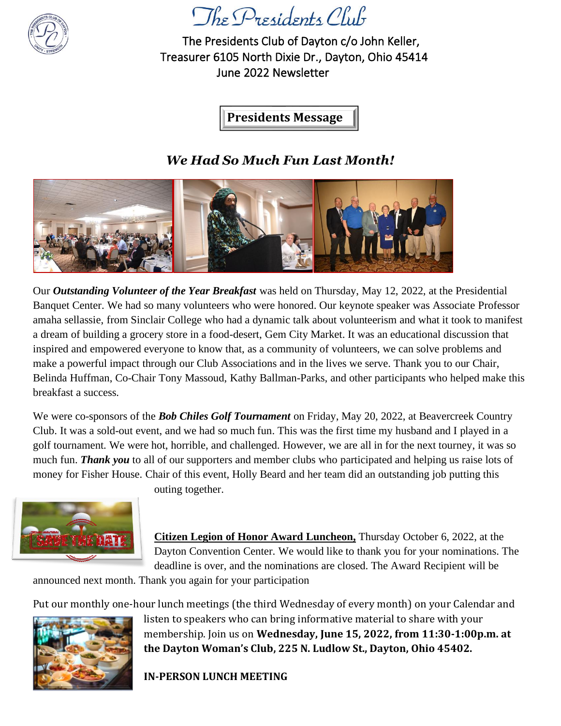

The Presidents Club of Dayton c/o John Keller, Treasurer 6105 North Dixie Dr., Dayton, Ohio 45414 June 2022 Newsletter

**Presidents Message**

### *We Had So Much Fun Last Month!*



Our *Outstanding Volunteer of the Year Breakfast* was held on Thursday, May 12, 2022, at the Presidential Banquet Center. We had so many volunteers who were honored. Our keynote speaker was Associate Professor amaha sellassie, from Sinclair College who had a dynamic talk about volunteerism and what it took to manifest a dream of building a grocery store in a food-desert, Gem City Market. It was an educational discussion that inspired and empowered everyone to know that, as a community of volunteers, we can solve problems and make a powerful impact through our Club Associations and in the lives we serve. Thank you to our Chair, Belinda Huffman, Co-Chair Tony Massoud, Kathy Ballman-Parks, and other participants who helped make this breakfast a success.

We were co-sponsors of the *Bob Chiles Golf Tournament* on Friday, May 20, 2022, at Beavercreek Country Club. It was a sold-out event, and we had so much fun. This was the first time my husband and I played in a golf tournament. We were hot, horrible, and challenged. However, we are all in for the next tourney, it was so much fun. *Thank you* to all of our supporters and member clubs who participated and helping us raise lots of money for Fisher House. Chair of this event, Holly Beard and her team did an outstanding job putting this



outing together.

**Citizen Legion of Honor Award Luncheon,** Thursday October 6, 2022, at the Dayton Convention Center. We would like to thank you for your nominations. The deadline is over, and the nominations are closed. The Award Recipient will be

announced next month. Thank you again for your participation

Put our monthly one-hour lunch meetings (the third Wednesday of every month) on your Calendar and



listen to speakers who can bring informative material to share with your membership. Join us on **Wednesday, June 15, 2022, from 11:30-1:00p.m. at the Dayton Woman's Club, 225 N. Ludlow St., Dayton, Ohio 45402.** 

**IN-PERSON LUNCH MEETING**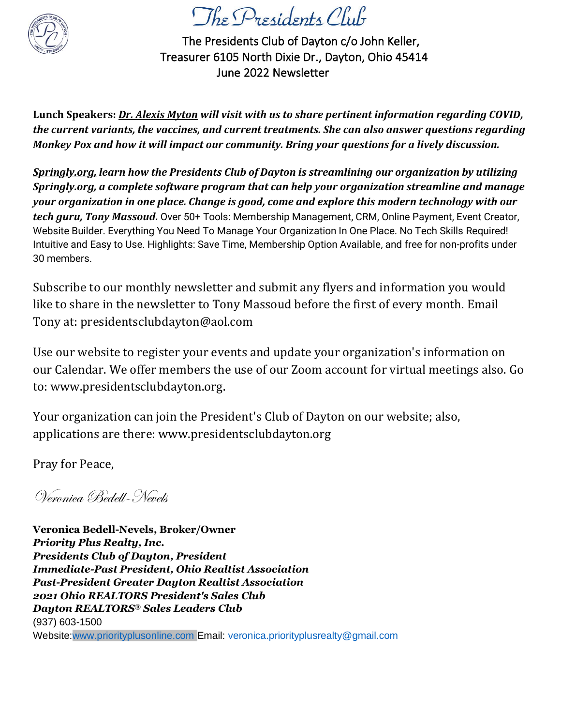

The Presidents Club of Dayton c/o John Keller, Treasurer 6105 North Dixie Dr., Dayton, Ohio 45414 June 2022 Newsletter

**Lunch Speakers:** *Dr. Alexis Myton will visit with us to share pertinent information regarding COVID, the current variants, the vaccines, and current treatments. She can also answer questions regarding Monkey Pox and how it will impact our community. Bring your questions for a lively discussion.*

*Springly.org, learn how the Presidents Club of Dayton is streamlining our organization by utilizing Springly.org, a complete software program that can help your organization streamline and manage your organization in one place. Change is good, come and explore this modern technology with our tech guru, Tony Massoud.* Over 50+ Tools: Membership Management, CRM, Online Payment, Event Creator, Website Builder. Everything You Need To Manage Your Organization In One Place. No Tech Skills Required! Intuitive and Easy to Use. Highlights: Save Time, Membership Option Available, and free for non-profits under 30 members.

Subscribe to our monthly newsletter and submit any flyers and information you would like to share in the newsletter to Tony Massoud before the first of every month. Email Tony at: presidentsclubdayton@aol.com

Use our website to register your events and update your organization's information on our Calendar. We offer members the use of our Zoom account for virtual meetings also. Go to: www.presidentsclubdayton.org.

Your organization can join the President's Club of Dayton on our website; also, applications are there: www.presidentsclubdayton.org

Pray for Peace,

Veronica Bedell-Nevels

**Veronica Bedell-Nevels, Broker/Owner** *Priority Plus Realty, Inc. Presidents Club of Dayton, President Immediate-Past President, Ohio Realtist Association Past-President Greater Dayton Realtist Association 2021 Ohio REALTORS President's Sales Club Dayton REALTORS® Sales Leaders Club*  (937) 603-1500 Website:www.priorityplusonline.com Email: veronica.priorityplusrealty@gmail.com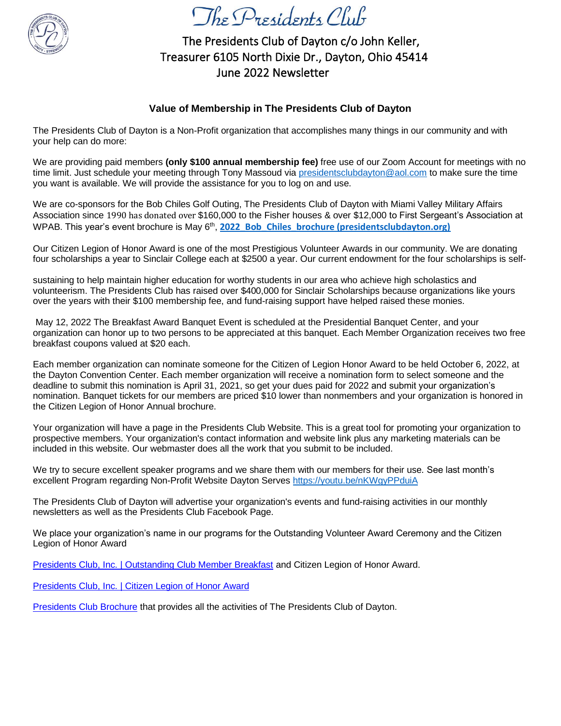

The Presidents Club of Dayton c/o John Keller, Treasurer 6105 North Dixie Dr., Dayton, Ohio 45414 June 2022 Newsletter

#### **Value of Membership in The Presidents Club of Dayton**

The Presidents Club of Dayton is a Non-Profit organization that accomplishes many things in our community and with your help can do more:

We are providing paid members **(only \$100 annual membership fee)** free use of our Zoom Account for meetings with no time limit. Just schedule your meeting through Tony Massoud via [presidentsclubdayton@aol.com](mailto:presidentsclubdayton@aol.com) to make sure the time you want is available. We will provide the assistance for you to log on and use.

We are co-sponsors for the Bob Chiles Golf Outing, The Presidents Club of Dayton with Miami Valley Military Affairs Association since 1990 has donated over \$160,000 to the Fisher houses & over \$12,000 to First Sergeant's Association at WPAB. This year's event brochure is May 6<sup>th</sup>, [2022\\_Bob\\_Chiles\\_brochure \(presidentsclubdayton.org\)](https://presidentsclubdayton.org/phocadownload/2022_Bob_Chiles_brochure.pdf)

Our Citizen Legion of Honor Award is one of the most Prestigious Volunteer Awards in our community. We are donating four scholarships a year to Sinclair College each at \$2500 a year. Our current endowment for the four scholarships is self-

sustaining to help maintain higher education for worthy students in our area who achieve high scholastics and volunteerism. The Presidents Club has raised over \$400,000 for Sinclair Scholarships because organizations like yours over the years with their \$100 membership fee, and fund-raising support have helped raised these monies.

May 12, 2022 The Breakfast Award Banquet Event is scheduled at the Presidential Banquet Center, and your organization can honor up to two persons to be appreciated at this banquet. Each Member Organization receives two free breakfast coupons valued at \$20 each.

Each member organization can nominate someone for the Citizen of Legion Honor Award to be held October 6, 2022, at the Dayton Convention Center. Each member organization will receive a nomination form to select someone and the deadline to submit this nomination is April 31, 2021, so get your dues paid for 2022 and submit your organization's nomination. Banquet tickets for our members are priced \$10 lower than nonmembers and your organization is honored in the Citizen Legion of Honor Annual brochure.

Your organization will have a page in the Presidents Club Website. This is a great tool for promoting your organization to prospective members. Your organization's contact information and website link plus any marketing materials can be included in this website. Our webmaster does all the work that you submit to be included.

We try to secure excellent speaker programs and we share them with our members for their use. See last month's excellent Program regarding Non-Profit Website Dayton Serves<https://youtu.be/nKWgyPPduiA>

The Presidents Club of Dayton will advertise your organization's events and fund-raising activities in our monthly newsletters as well as the Presidents Club Facebook Page.

We place your organization's name in our programs for the Outstanding Volunteer Award Ceremony and the Citizen Legion of Honor Award

[Presidents Club, Inc. | Outstanding Club Member Breakfast](https://presidentsclubdayton.org/index.php/sponsored/2-uncategorised/33-outstanding-club-member-breakfast.html) and Citizen Legion of Honor Award.

[Presidents Club, Inc. | Citizen Legion of Honor Award](https://presidentsclubdayton.org/index.php/sponsored/2-uncategorised/34-citizen-legion-of-honor-award.html)

[Presidents Club Brochure](https://www.presidentsclubdayton.org/MiscDocs/PCoD_Club_Brochure.pdf) that provides all the activities of The Presidents Club of Dayton.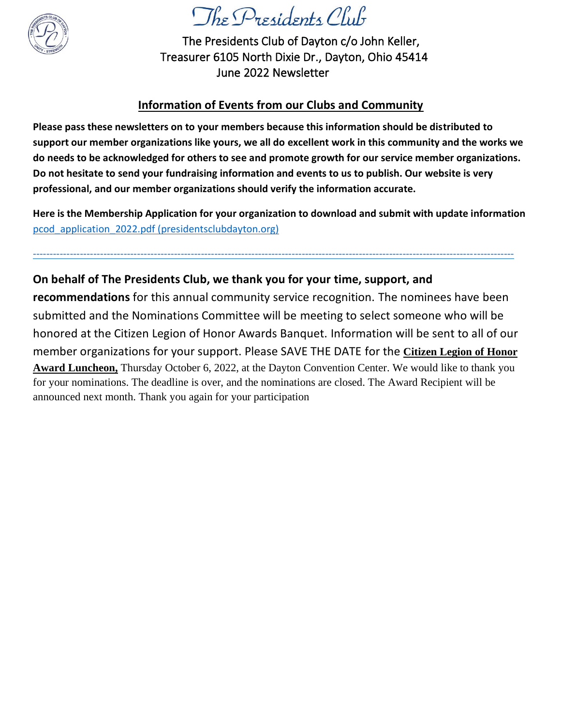

The Presidents Club of Dayton c/o John Keller, Treasurer 6105 North Dixie Dr., Dayton, Ohio 45414 June 2022 Newsletter

### **Information of Events from our Clubs and Community**

**Please pass these newsletters on to your members because this information should be distributed to support our member organizations like yours, we all do excellent work in this community and the works we do needs to be acknowledged for others to see and promote growth for our service member organizations. Do not hesitate to send your fundraising information and events to us to publish. Our website is very professional, and our member organizations should verify the information accurate.**

**Here is the Membership Application for your organization to download and submit with update information** [pcod\\_application\\_2022.pdf \(presidentsclubdayton.org\)](https://presidentsclubdayton.org/phocadownload/pcod_application_2022.pdf)

-----------------------------------------------------------------------------------------------------------------------------------------------

### **On behalf of The Presidents Club, we thank you for your time, support, and**

**recommendations** for this annual community service recognition. The nominees have been submitted and the Nominations Committee will be meeting to select someone who will be honored at the Citizen Legion of Honor Awards Banquet. Information will be sent to all of our member organizations for your support. Please SAVE THE DATE for the **Citizen Legion of Honor Award Luncheon,** Thursday October 6, 2022, at the Dayton Convention Center. We would like to thank you for your nominations. The deadline is over, and the nominations are closed. The Award Recipient will be announced next month. Thank you again for your participation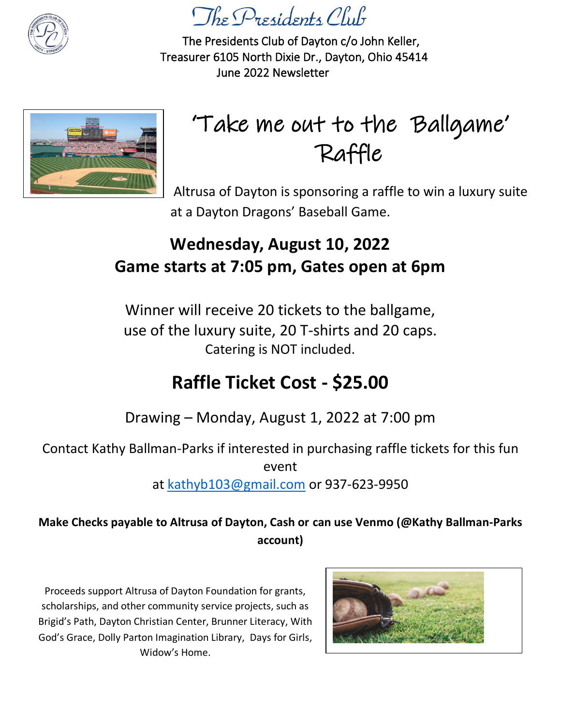

The Presidents Club of Dayton c/o John Keller, Treasurer 6105 North Dixie Dr., Dayton, Ohio 45414 June 2022 Newsletter



# 'Take me out to the Ballgame' Raffle

Altrusa of Dayton is sponsoring a raffle to win a luxury suite at a Dayton Dragons' Baseball Game.

## **Wednesday, August 10, 2022 Game starts at 7:05 pm, Gates open at 6pm**

Winner will receive 20 tickets to the ballgame, use of the luxury suite, 20 T-shirts and 20 caps. Catering is NOT included.

# **Raffle Ticket Cost - \$25.00**

Drawing – Monday, August 1, 2022 at 7:00 pm

Contact Kathy Ballman-Parks if interested in purchasing raffle tickets for this fun

event

at [kathyb103@gmail.com](mailto:kathyb103@gmail.com) or 937-623-9950

### **Make Checks payable to Altrusa of Dayton, Cash or can use Venmo (@Kathy Ballman-Parks account)**

Proceeds support Altrusa of Dayton Foundation for grants, scholarships, and other community service projects, such as Brigid's Path, Dayton Christian Center, Brunner Literacy, With God's Grace, Dolly Parton Imagination Library, Days for Girls, Widow's Home.

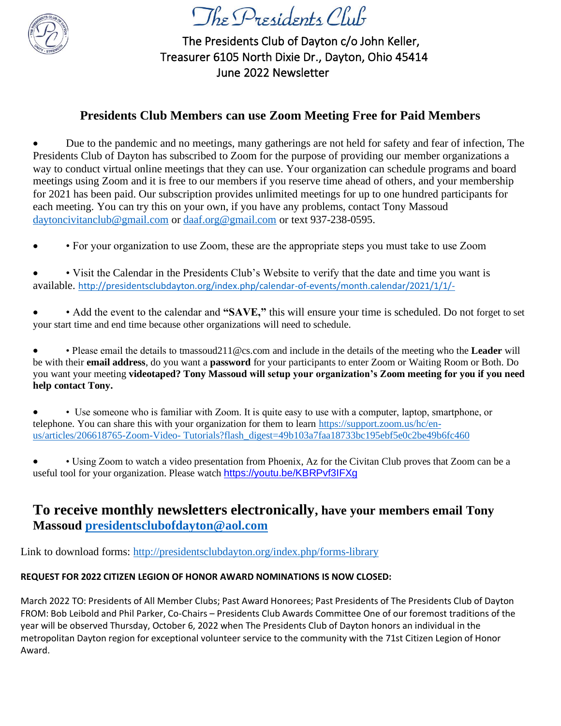

The Presidents Club of Dayton c/o John Keller, Treasurer 6105 North Dixie Dr., Dayton, Ohio 45414 June 2022 Newsletter

### **Presidents Club Members can use Zoom Meeting Free for Paid Members**

• Due to the pandemic and no meetings, many gatherings are not held for safety and fear of infection, The Presidents Club of Dayton has subscribed to Zoom for the purpose of providing our member organizations a way to conduct virtual online meetings that they can use. Your organization can schedule programs and board meetings using Zoom and it is free to our members if you reserve time ahead of others, and your membership for 2021 has been paid. Our subscription provides unlimited meetings for up to one hundred participants for each meeting. You can try this on your own, if you have any problems, contact Tony Massoud [daytoncivitanclub@gmail.com](mailto:daytoncivitanclub@gmail.com) or [daaf.org@gmail.com](mailto:daaf.org@gmail.com) or text 937-238-0595.

- • For your organization to use Zoom, these are the appropriate steps you must take to use Zoom
- • Visit the Calendar in the Presidents Club's Website to verify that the date and time you want is available. <http://presidentsclubdayton.org/index.php/calendar-of-events/month.calendar/2021/1/1/->
- • Add the event to the calendar and **"SAVE,"** this will ensure your time is scheduled. Do not forget to set your start time and end time because other organizations will need to schedule.

• • Please email the details to tmassoud211@cs.com and include in the details of the meeting who the **Leader** will be with their **email address**, do you want a **password** for your participants to enter Zoom or Waiting Room or Both. Do you want your meeting **videotaped? Tony Massoud will setup your organization's Zoom meeting for you if you need help contact Tony.** 

• • Use someone who is familiar with Zoom. It is quite easy to use with a computer, laptop, smartphone, or telephone. You can share this with your organization for them to learn [https://support.zoom.us/hc/en](https://support.zoom.us/hc/en-us/articles/206618765-Zoom-Video-%20Tutorials?flash_digest=49b103a7faa18733bc195ebf5e0c2be49b6fc460%20)us/articles/206618765-Zoom-Video- [Tutorials?flash\\_digest=49b103a7faa18733bc195ebf5e0c2be49b6fc460](https://support.zoom.us/hc/en-us/articles/206618765-Zoom-Video-%20Tutorials?flash_digest=49b103a7faa18733bc195ebf5e0c2be49b6fc460%20)

• • Using Zoom to watch a video presentation from Phoenix, Az for the Civitan Club proves that Zoom can be a useful tool for your organization. Please watch <https://youtu.be/KBRPvf3IFXg>

### **To receive monthly newsletters electronically, have your members email Tony Massoud [presidentsclubofdayton@aol.com](file:///D:/2020/PRESIDENTS_CLUB/presidentsclubofdayton@aol.com)**

Link to download forms:<http://presidentsclubdayton.org/index.php/forms-library>

#### **REQUEST FOR 2022 CITIZEN LEGION OF HONOR AWARD NOMINATIONS IS NOW CLOSED:**

March 2022 TO: Presidents of All Member Clubs; Past Award Honorees; Past Presidents of The Presidents Club of Dayton FROM: Bob Leibold and Phil Parker, Co-Chairs – Presidents Club Awards Committee One of our foremost traditions of the year will be observed Thursday, October 6, 2022 when The Presidents Club of Dayton honors an individual in the metropolitan Dayton region for exceptional volunteer service to the community with the 71st Citizen Legion of Honor Award.